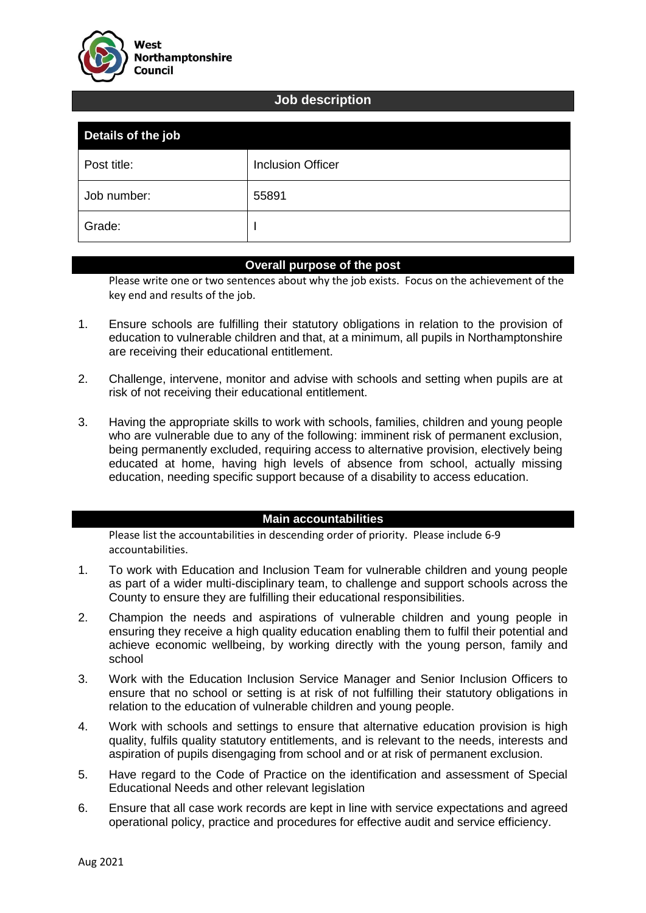

### **Job description**

| Details of the job |                          |
|--------------------|--------------------------|
| Post title:        | <b>Inclusion Officer</b> |
| Job number:        | 55891                    |
| Grade:             |                          |

### **Overall purpose of the post**

Please write one or two sentences about why the job exists. Focus on the achievement of the key end and results of the job.

- 1. Ensure schools are fulfilling their statutory obligations in relation to the provision of education to vulnerable children and that, at a minimum, all pupils in Northamptonshire are receiving their educational entitlement.
- 2. Challenge, intervene, monitor and advise with schools and setting when pupils are at risk of not receiving their educational entitlement.
- 3. Having the appropriate skills to work with schools, families, children and young people who are vulnerable due to any of the following: imminent risk of permanent exclusion, being permanently excluded, requiring access to alternative provision, electively being educated at home, having high levels of absence from school, actually missing education, needing specific support because of a disability to access education.

#### **Main accountabilities**

Please list the accountabilities in descending order of priority. Please include 6-9 accountabilities.

- 1. To work with Education and Inclusion Team for vulnerable children and young people as part of a wider multi-disciplinary team, to challenge and support schools across the County to ensure they are fulfilling their educational responsibilities.
- 2. Champion the needs and aspirations of vulnerable children and young people in ensuring they receive a high quality education enabling them to fulfil their potential and achieve economic wellbeing, by working directly with the young person, family and school
- 3. Work with the Education Inclusion Service Manager and Senior Inclusion Officers to ensure that no school or setting is at risk of not fulfilling their statutory obligations in relation to the education of vulnerable children and young people.
- 4. Work with schools and settings to ensure that alternative education provision is high quality, fulfils quality statutory entitlements, and is relevant to the needs, interests and aspiration of pupils disengaging from school and or at risk of permanent exclusion.
- 5. Have regard to the Code of Practice on the identification and assessment of Special Educational Needs and other relevant legislation
- 6. Ensure that all case work records are kept in line with service expectations and agreed operational policy, practice and procedures for effective audit and service efficiency.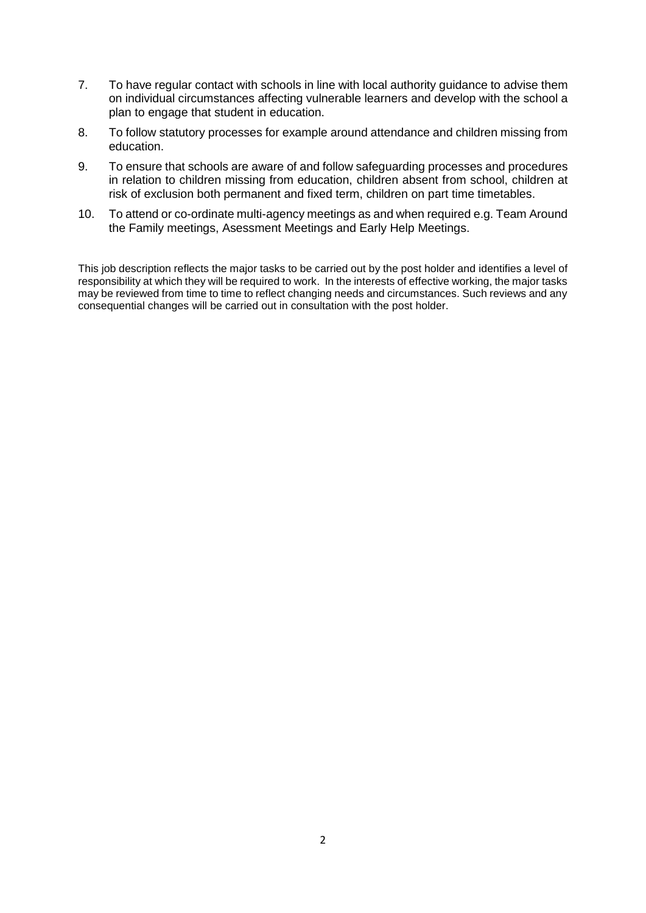- 7. To have regular contact with schools in line with local authority guidance to advise them on individual circumstances affecting vulnerable learners and develop with the school a plan to engage that student in education.
- 8. To follow statutory processes for example around attendance and children missing from education.
- 9. To ensure that schools are aware of and follow safeguarding processes and procedures in relation to children missing from education, children absent from school, children at risk of exclusion both permanent and fixed term, children on part time timetables.
- 10. To attend or co-ordinate multi-agency meetings as and when required e.g. Team Around the Family meetings, Asessment Meetings and Early Help Meetings.

This job description reflects the major tasks to be carried out by the post holder and identifies a level of responsibility at which they will be required to work. In the interests of effective working, the major tasks may be reviewed from time to time to reflect changing needs and circumstances. Such reviews and any consequential changes will be carried out in consultation with the post holder.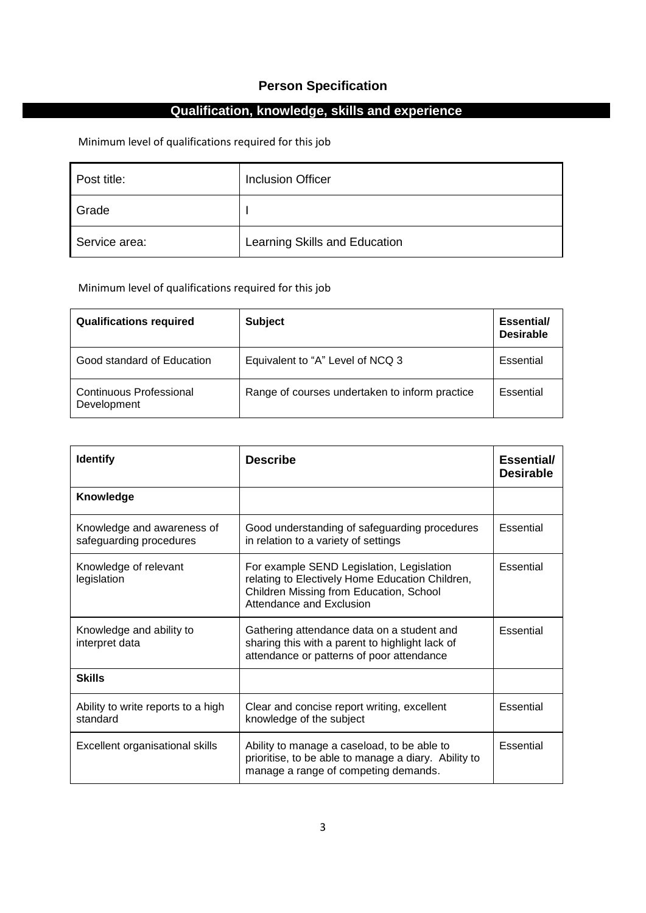## **Person Specification**

## **Qualification, knowledge, skills and experience**

Minimum level of qualifications required for this job

| Post title:   | <b>Inclusion Officer</b>      |
|---------------|-------------------------------|
| Grade         |                               |
| Service area: | Learning Skills and Education |

### Minimum level of qualifications required for this job

| <b>Qualifications required</b>         | <b>Subject</b>                                 | Essential/<br><b>Desirable</b> |
|----------------------------------------|------------------------------------------------|--------------------------------|
| Good standard of Education             | Equivalent to "A" Level of NCQ 3               | Essential                      |
| Continuous Professional<br>Development | Range of courses undertaken to inform practice | Essential                      |

| <b>Identify</b>                                       | <b>Describe</b>                                                                                                                                                     | Essential/<br><b>Desirable</b> |
|-------------------------------------------------------|---------------------------------------------------------------------------------------------------------------------------------------------------------------------|--------------------------------|
| Knowledge                                             |                                                                                                                                                                     |                                |
| Knowledge and awareness of<br>safeguarding procedures | Good understanding of safeguarding procedures<br>in relation to a variety of settings                                                                               | Essential                      |
| Knowledge of relevant<br>legislation                  | For example SEND Legislation, Legislation<br>relating to Electively Home Education Children,<br>Children Missing from Education, School<br>Attendance and Exclusion | Essential                      |
| Knowledge and ability to<br>interpret data            | Gathering attendance data on a student and<br>sharing this with a parent to highlight lack of<br>attendance or patterns of poor attendance                          | Essential                      |
| <b>Skills</b>                                         |                                                                                                                                                                     |                                |
| Ability to write reports to a high<br>standard        | Clear and concise report writing, excellent<br>knowledge of the subject                                                                                             | Essential                      |
| Excellent organisational skills                       | Ability to manage a caseload, to be able to<br>prioritise, to be able to manage a diary. Ability to<br>manage a range of competing demands.                         | Essential                      |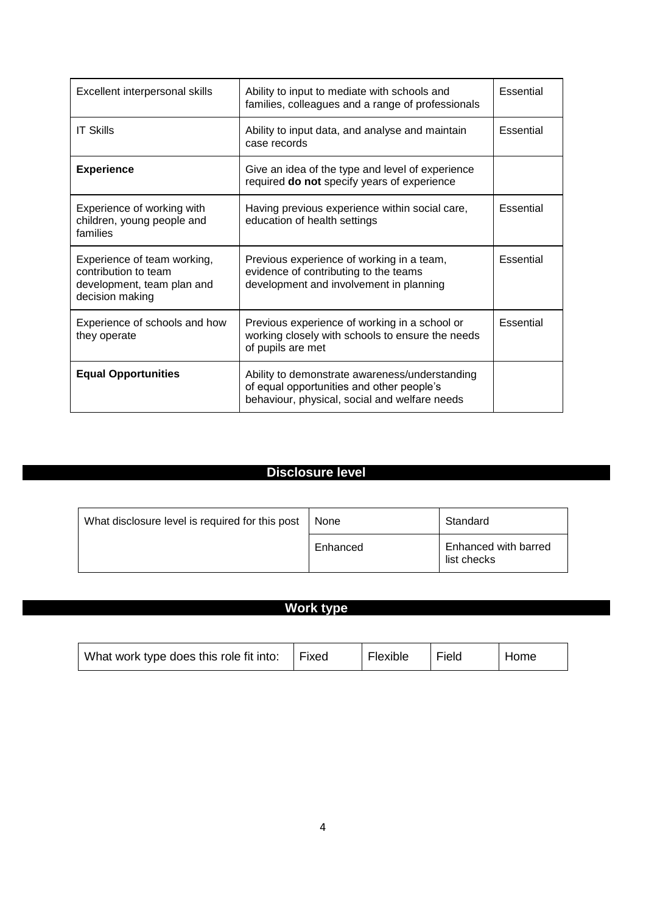| Excellent interpersonal skills                                                                       | Ability to input to mediate with schools and<br>families, colleagues and a range of professionals                                            | Essential        |
|------------------------------------------------------------------------------------------------------|----------------------------------------------------------------------------------------------------------------------------------------------|------------------|
| <b>IT Skills</b>                                                                                     | Ability to input data, and analyse and maintain<br>case records                                                                              | Essential        |
| <b>Experience</b>                                                                                    | Give an idea of the type and level of experience<br>required do not specify years of experience                                              |                  |
| Experience of working with<br>children, young people and<br>families                                 | Having previous experience within social care,<br>education of health settings                                                               | Essential        |
| Experience of team working,<br>contribution to team<br>development, team plan and<br>decision making | Previous experience of working in a team,<br>evidence of contributing to the teams<br>development and involvement in planning                | <b>Essential</b> |
| Experience of schools and how<br>they operate                                                        | Previous experience of working in a school or<br>working closely with schools to ensure the needs<br>of pupils are met                       | Essential        |
| <b>Equal Opportunities</b>                                                                           | Ability to demonstrate awareness/understanding<br>of equal opportunities and other people's<br>behaviour, physical, social and welfare needs |                  |

# **Disclosure level**

| What disclosure level is required for this post | None     | Standard                            |
|-------------------------------------------------|----------|-------------------------------------|
|                                                 | Enhanced | Enhanced with barred<br>list checks |

## **Work type**

| What work type does this role fit into: | Fixed | Flexible | Field | Home |
|-----------------------------------------|-------|----------|-------|------|
|                                         |       |          |       |      |